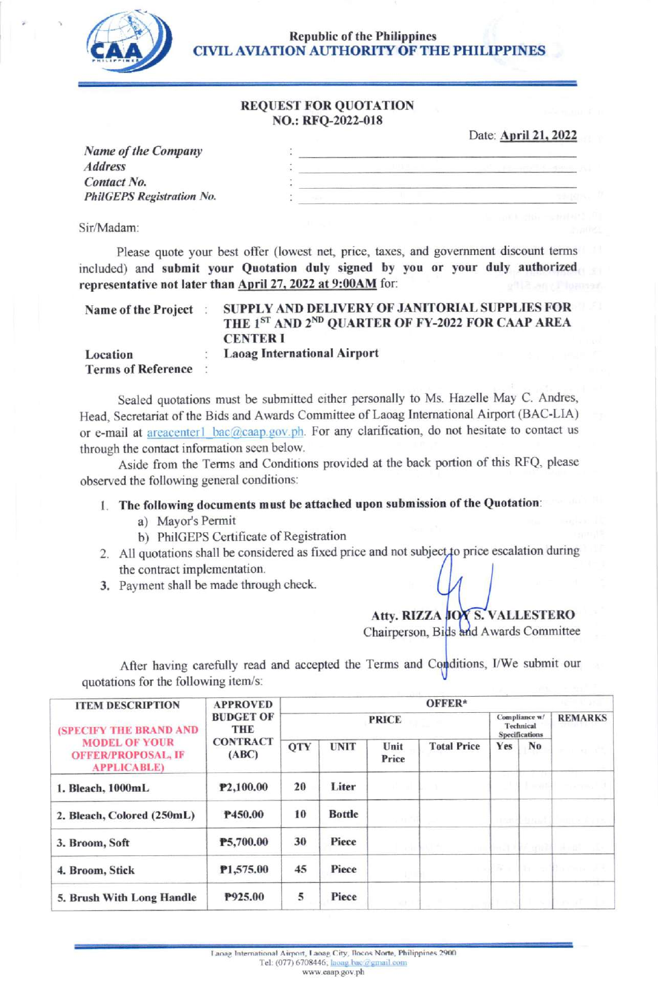

Republic of the Philippines<br>CAA CIVIL AVIATION AUTHORITY OF TH CIVIL AVIATION AUTHORITY OF THE PHILIPPINES

#### REQUEST FOR QUOTATION NO.: RFQ-2022-018

Date: **April 21, 2022** 

| Name of the Company              |  |  |
|----------------------------------|--|--|
| <b>Address</b>                   |  |  |
| <b>Contact No.</b>               |  |  |
| <b>PhilGEPS Registration No.</b> |  |  |
|                                  |  |  |

Sir/Madam

Please quote your best offer (lowest net, price, taxes, and government discount terms included) and submit your Quotation duly signed by you or your duly authorized representative not later than April 27, 2022 at 9:00AM for:

| Name of the Project                   | SUPPLY AND DELIVERY OF JANITORIAL SUPPLIES FOR<br>THE 1ST AND 2ND QUARTER OF FY-2022 FOR CAAP AREA<br><b>CENTER I</b> |
|---------------------------------------|-----------------------------------------------------------------------------------------------------------------------|
| Location<br><b>Terms of Reference</b> | <b>Laoag International Airport</b>                                                                                    |

Sealed quotations must be submitted either personally to Ms. Hazelle May C. Andres, Head, Secretariat of the Bids and Awards Committee of Laoag lntemational Airyort (BAC-LIA) or e-mail at areacenter1 bac@caap.gov.ph. For any clarification, do not hesitate to contact us through the contact information seen below.

Aside from the Terms and conditions provided at the back portion of this RFQ, please observed the following general conditions:

#### <sup>I</sup>. The following documents must be attached upon submission of the Quotation:

- a) Mayot's Permit
- b) PhiIGEPS Certificate of Registration
- 2. All quotations shall be considered as fixed price and not subject to price escalation during the contract implementation.
- 3. Payment shall be made through check.

### Atty. RIZZA JOY S. VALLESTERC Chairperson, Bids and Awards Committee

After having carefully read and accepted the Terms and Conditions, I/We submit our quotations for the following item/s:

| <b>ITEM DESCRIPTION</b><br>(SPECIFY THE BRAND AND<br><b>MODEL OF YOUR</b><br><b>OFFER/PROPOSAL, IF</b><br><b>APPLICABLE)</b> | <b>APPROVED</b>                                            | OFFER*       |               |               |                    |                                                     |                             |                |  |
|------------------------------------------------------------------------------------------------------------------------------|------------------------------------------------------------|--------------|---------------|---------------|--------------------|-----------------------------------------------------|-----------------------------|----------------|--|
|                                                                                                                              | <b>BUDGET OF</b><br><b>THE</b><br><b>CONTRACT</b><br>(ABC) | <b>PRICE</b> |               |               |                    | Compliance w/<br>Technical<br><b>Specifications</b> |                             | <b>REMARKS</b> |  |
|                                                                                                                              |                                                            | <b>OTY</b>   | <b>UNIT</b>   | Unit<br>Price | <b>Total Price</b> | Yes                                                 | N <sub>0</sub>              |                |  |
| 1. Bleach, 1000mL                                                                                                            | P2,100.00                                                  | 20           | Liter         |               |                    |                                                     | $\pm$ $-22$                 |                |  |
| 2. Bleach, Colored (250mL)                                                                                                   | P450.00                                                    | 10           | <b>Bottle</b> |               |                    |                                                     | <u>Lines &amp; Abrevi</u> t |                |  |
| 3. Broom, Soft                                                                                                               | P5,700.00                                                  | 30           | Piece         |               |                    | ma 19                                               | 5500                        | H. B           |  |
| 4. Broom, Stick                                                                                                              | P1,575.00                                                  | 45           | Piece         |               |                    |                                                     | Wa                          |                |  |
| 5. Brush With Long Handle                                                                                                    | P925.00                                                    | 5            | Piece         |               |                    |                                                     |                             | any raiff      |  |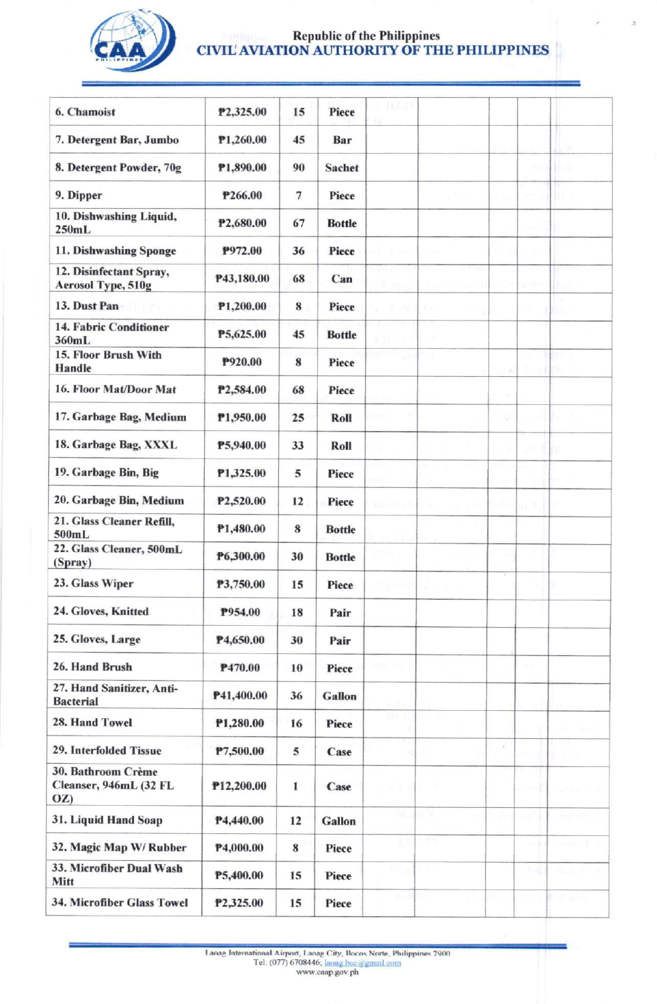

## Republic of the Philippines<br>CIVIL'AVIATION AUTHORITY OF THE PHILIPPINES

| 6. Chamoist                                         | P2,325.00  | 15                | Piece         | 10.B    |      |                |                           |             |
|-----------------------------------------------------|------------|-------------------|---------------|---------|------|----------------|---------------------------|-------------|
| 7. Detergent Bar, Jumbo                             | P1,260.00  | 45                | Bar           |         |      |                |                           |             |
| 8. Detergent Powder, 70g                            | P1,890.00  | 90                | Sachet        |         |      |                | AP.                       |             |
| 9. Dipper                                           | P266.00    | $\overline{\tau}$ | Piece         |         |      |                | $\mathbb{R}^{d \times d}$ |             |
| 10. Dishwashing Liquid,                             | P2,680.00  | 67                | <b>Bottle</b> |         |      |                |                           |             |
| 250mL<br>11. Dishwashing Sponge                     | P972.00    | 36                | Piece         |         |      |                |                           |             |
| 12. Disinfectant Spray,                             | P43,180.00 | 68                | Can           |         |      |                |                           |             |
| Aerosol Type, 510g                                  |            |                   |               |         |      |                |                           |             |
| 13. Dust Pan                                        | P1,200.00  | 8                 | Piece         | 1.311   | Л'n. |                |                           | tэ          |
| 14. Fabric Conditioner<br>360mL                     | P5,625.00  | 45                | <b>Bottle</b> | a bi    |      |                |                           |             |
| 15. Floor Brush With<br><b>Handle</b>               | P920.00    | 8                 | Piece         | 10 TH   |      |                |                           |             |
| 16. Floor Mat/Door Mat                              | P2,584.00  | 68                | Piece         |         |      |                |                           |             |
| 17. Garbage Bag, Medium                             | P1,950.00  | 25                | Roll          |         |      |                |                           |             |
| 18. Garbage Bag, XXXL                               | P5,940.00  | 33                | Roll          |         |      |                |                           | ω           |
| 19. Garbage Bin, Big                                | P1,325.00  | 5                 | Piece         |         |      |                |                           |             |
| 20. Garbage Bin, Medium                             | P2,520.00  | 12                | Piece         | 921 of  |      |                | on G                      |             |
| 21. Glass Cleaner Refill,<br>500mL                  | P1,480.00  | 8                 | <b>Bottle</b> |         |      |                |                           |             |
| 22. Glass Cleaner, 500mL<br>(Spray)                 | P6,300.00  | 30                | <b>Bottle</b> |         |      |                |                           |             |
| 23. Glass Wiper                                     | P3,750.00  | 15                | Piece         | lim 630 |      |                |                           |             |
| 24. Gloves, Knitted                                 | P954.00    | 18                | Pair          |         |      |                |                           |             |
| 25. Gloves, Large                                   | P4,650.00  | 30                | Pair          |         |      |                |                           |             |
| 26. Hand Brush                                      | P470.00    | 10                | Piece         |         |      |                | CO.                       |             |
| 27. Hand Sanitizer, Anti-<br><b>Bacterial</b>       | P41,400.00 | 36                | Gallon        |         |      |                |                           |             |
| 28. Hand Towel                                      | P1,280.00  | 16                | Piece         | m       |      |                |                           |             |
| 29. Interfolded Tissue                              | P7,500.00  | 5                 | Case          |         |      | $\tilde{\tau}$ |                           |             |
| 30. Bathroom Crème<br>Cleanser, 946mL (32 FL<br>OZ) | P12,200.00 | $\mathbf{1}$      | Case          |         |      |                |                           |             |
| 31. Liquid Hand Soap                                | P4,440.00  | 12                | <b>Gallon</b> | 98.     | 5178 |                | างป่                      | have and    |
| 32. Magic Map W/Rubber                              | P4,000.00  | 8                 | Piece         | 9.1     | 28   |                | -16                       | aran K      |
| 33. Microfiber Dual Wash<br>Mitt                    | P5,400.00  | 15                | Piece         | hilus   |      |                |                           |             |
| 34. Microfiber Glass Towel                          | P2,325.00  | 15                | Piece         | V.      |      |                |                           | a di mandia |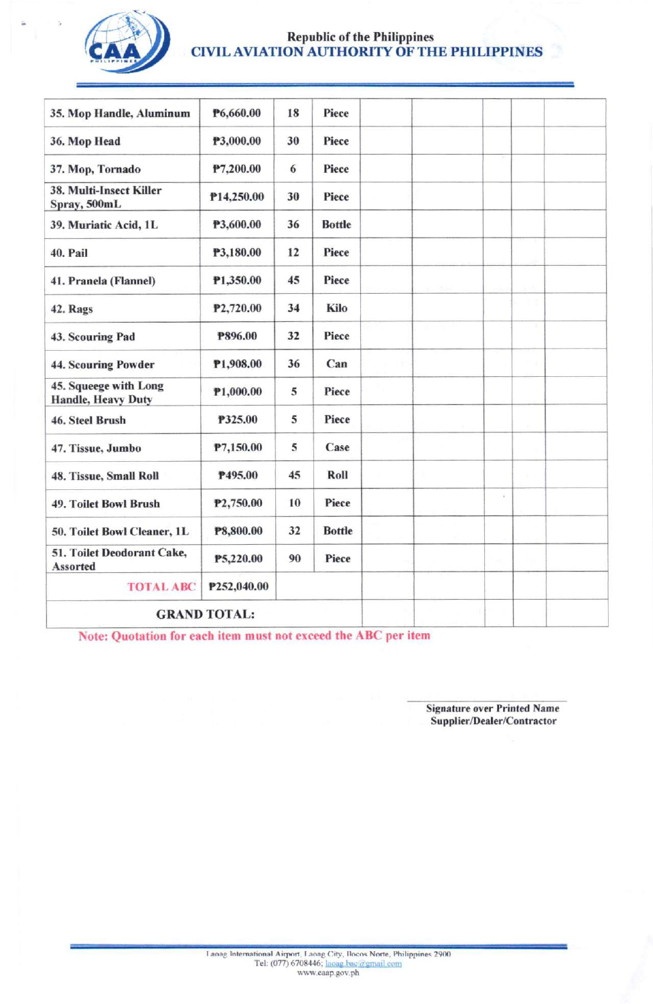

# Republic of the Philippines<br>CIVIL AVIATION AUTHORITY OF THE PHILIPPINES

| 35. Mop Handle, Aluminum                    | P6,660.00           | 18 | Piece         |  |    |  |
|---------------------------------------------|---------------------|----|---------------|--|----|--|
| 36. Mop Head                                | P3,000.00           | 30 | Piece         |  |    |  |
| 37. Mop, Tornado                            | P7,200.00           | 6  | Piece         |  |    |  |
| 38. Multi-Insect Killer<br>Spray, 500mL     | P14,250.00          | 30 | Piece         |  |    |  |
| 39. Muriatic Acid, 1L                       | P3,600.00           | 36 | <b>Bottle</b> |  |    |  |
| 40. Pail                                    | P3,180.00           | 12 | Piece         |  |    |  |
| 41. Pranela (Flannel)                       | P1,350.00           | 45 | Piece         |  |    |  |
| 42. Rags                                    | P2,720.00           | 34 | Kilo          |  |    |  |
| 43. Scouring Pad                            | P896.00             | 32 | Piece         |  |    |  |
| 44. Scouring Powder                         | P1,908.00           | 36 | Can           |  |    |  |
| 45. Squeege with Long<br>Handle, Heavy Duty | P1,000.00           | 5  | Piece         |  |    |  |
| 46. Steel Brush                             | P325.00             | 5  | Piece         |  |    |  |
| 47. Tissue, Jumbo                           | P7,150.00           | 5  | Case          |  |    |  |
| 48. Tissue, Small Roll                      | P495.00             | 45 | Roll          |  |    |  |
| 49. Toilet Bowl Brush                       | P2,750.00           | 10 | Piece         |  | ù. |  |
| 50. Toilet Bowl Cleaner, 1L                 | P8,800.00           | 32 | <b>Bottle</b> |  |    |  |
| 51. Toilet Deodorant Cake,<br>Assorted      | P5,220.00           | 90 | Piece         |  |    |  |
| <b>TOTAL ABC</b>                            | P252,040.00         |    |               |  |    |  |
|                                             | <b>GRAND TOTAL:</b> |    |               |  |    |  |

Note: Quotation for each item must not exceed the ABC per item

**Signature over Printed Name** Supplier/Dealer/Contractor